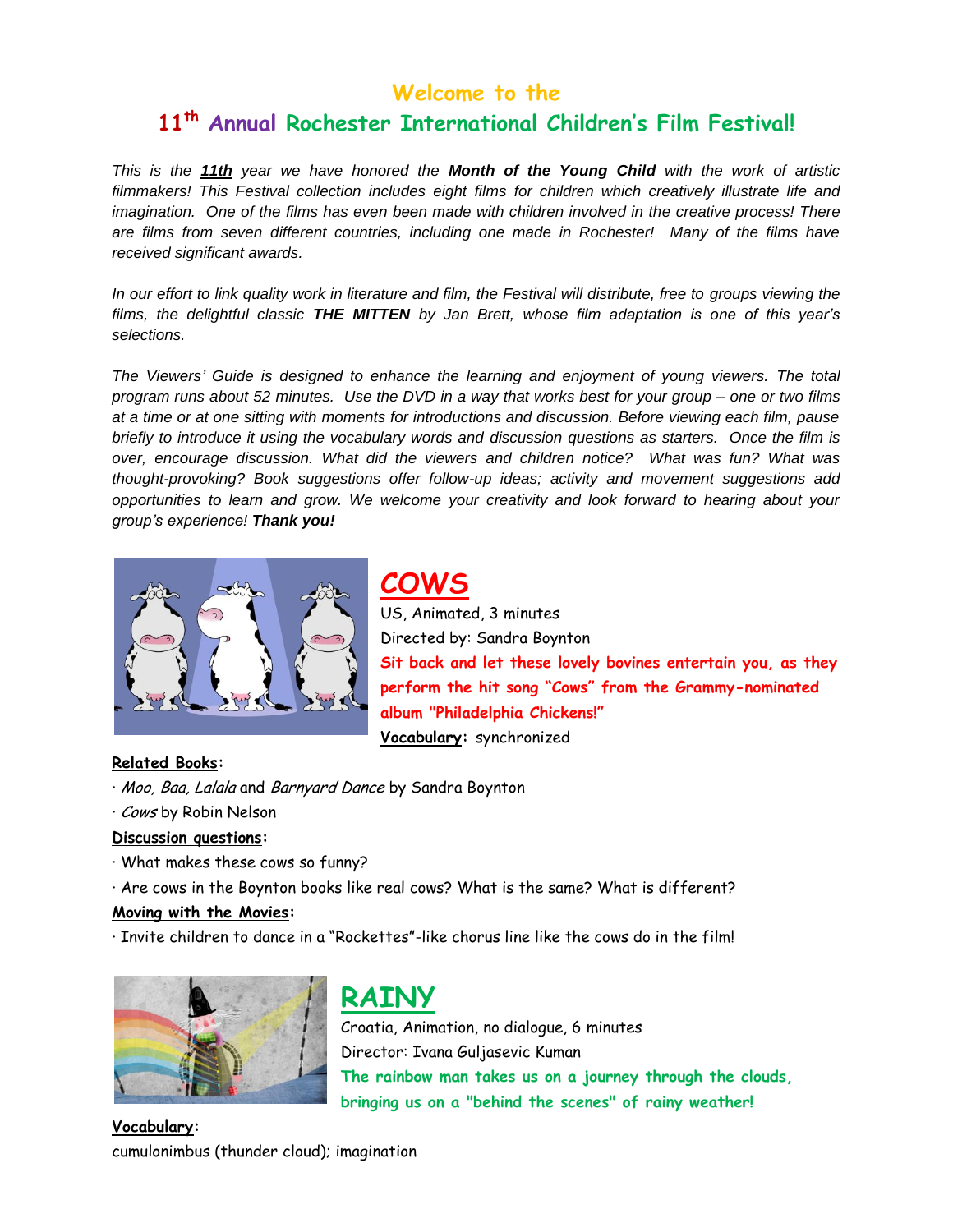### **Welcome to the**

### **11th Annual Rochester International Children's Film Festival!**

*This is the 11th year we have honored the Month of the Young Child with the work of artistic filmmakers! This Festival collection includes eight films for children which creatively illustrate life and imagination. One of the films has even been made with children involved in the creative process! There are films from seven different countries, including one made in Rochester! Many of the films have received significant awards.* 

In our effort to link quality work in literature and film, the Festival will distribute, free to groups viewing the *films, the delightful classic THE MITTEN by Jan Brett, whose film adaptation is one of this year's selections.* 

*The Viewers' Guide is designed to enhance the learning and enjoyment of young viewers. The total program runs about 52 minutes. Use the DVD in a way that works best for your group – one or two films at a time or at one sitting with moments for introductions and discussion. Before viewing each film, pause briefly to introduce it using the vocabulary words and discussion questions as starters. Once the film is over, encourage discussion. What did the viewers and children notice? What was fun? What was thought-provoking? Book suggestions offer follow-up ideas; activity and movement suggestions add opportunities to learn and grow. We welcome your creativity and look forward to hearing about your group's experience! Thank you!*



**COWS**

US, Animated, 3 minutes Directed by: Sandra Boynton **Sit back and let these lovely bovines entertain you, as they perform the hit song "Cows" from the Grammy-nominated album "Philadelphia Chickens!" Vocabulary:** synchronized

#### **Related Books:**

- · Moo, Baa, Lalala and Barnyard Dance by Sandra Boynton
- · Cows by Robin Nelson

#### **Discussion questions:**

- · What makes these cows so funny?
- · Are cows in the Boynton books like real cows? What is the same? What is different?

#### **Moving with the Movies:**

· Invite children to dance in a "Rockettes"-like chorus line like the cows do in the film!



## **RAINY**

Croatia, Animation, no dialogue, 6 minutes Director: Ivana Guljasevic Kuman **The rainbow man takes us on a journey through the clouds, bringing us on a "behind the scenes" of rainy weather!**

**Vocabulary:**  cumulonimbus (thunder cloud); imagination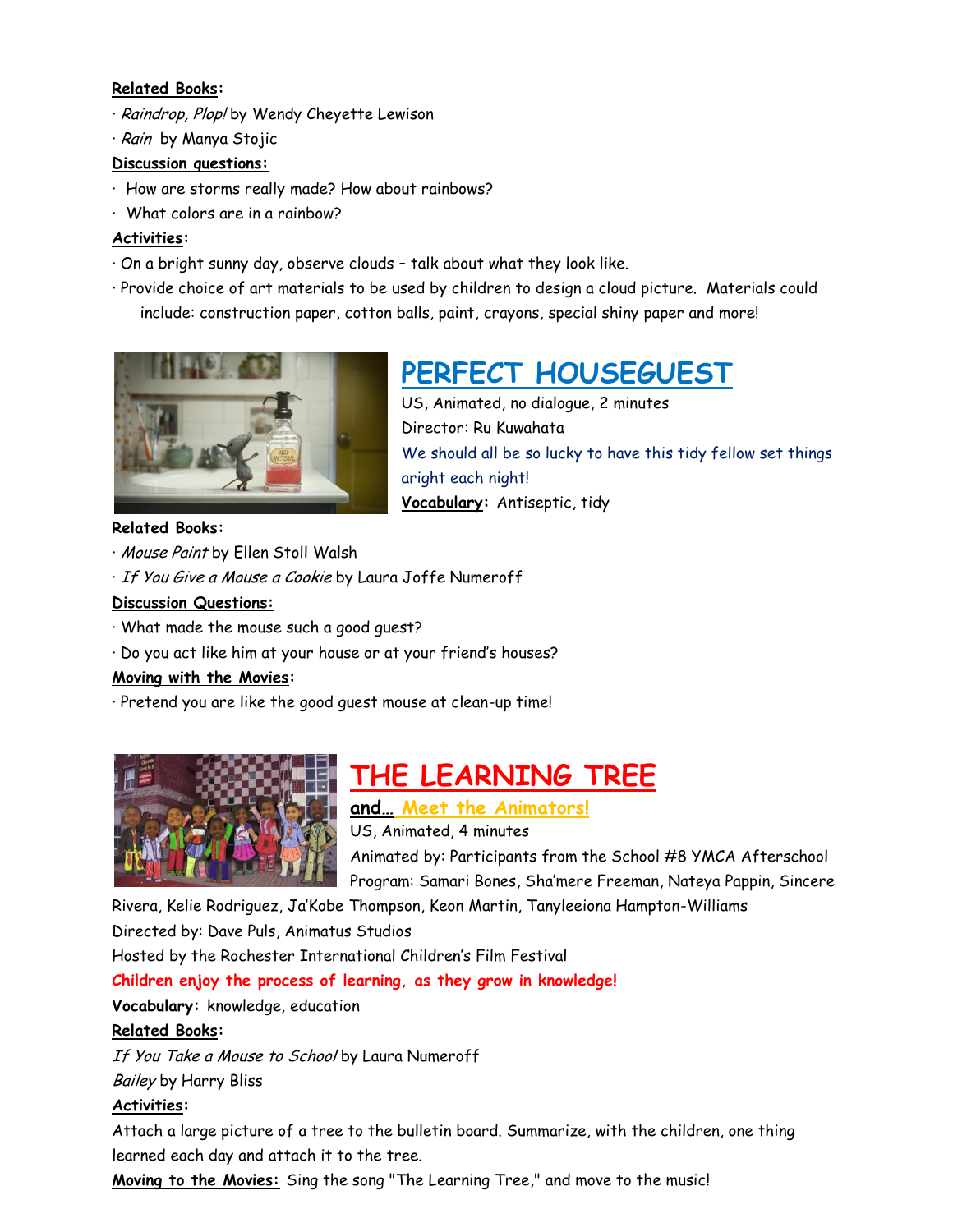#### **Related Books:**

- · Raindrop, Plop! by Wendy Cheyette Lewison
- · Rain by Manya Stojic

#### **Discussion questions:**

- · How are storms really made? How about rainbows?
- · What colors are in a rainbow?

#### **Activities:**

- · On a bright sunny day, observe clouds talk about what they look like.
- · Provide choice of art materials to be used by children to design a cloud picture. Materials could include: construction paper, cotton balls, paint, crayons, special shiny paper and more!



#### **Related Books:**

- · Mouse Paint by Ellen Stoll Walsh
- · If You Give a Mouse a Cookie by Laura Joffe Numeroff

#### **Discussion Questions:**

- · What made the mouse such a good guest?
- · Do you act like him at your house or at your friend's houses?

#### **Moving with the Movies:**

· Pretend you are like the good guest mouse at clean-up time!



## **THE LEARNING TREE**

**and… Meet the Animators!**

US, Animated, 4 minutes

Animated by: Participants from the School #8 YMCA Afterschool Program: Samari Bones, Sha'mere Freeman, Nateya Pappin, Sincere

Rivera, Kelie Rodriguez, Ja'Kobe Thompson, Keon Martin, Tanyleeiona Hampton-Williams

Directed by: Dave Puls, Animatus Studios

Hosted by the Rochester International Children's Film Festival

**Children enjoy the process of learning, as they grow in knowledge!** 

**Vocabulary:** knowledge, education

#### **Related Books:**

If You Take a Mouse to School by Laura Numeroff

Bailey by Harry Bliss

#### **Activities:**

Attach a large picture of a tree to the bulletin board. Summarize, with the children, one thing learned each day and attach it to the tree.

**Moving to the Movies:** Sing the song "The Learning Tree," and move to the music!

# **PERFECT HOUSEGUEST**

US, Animated, no dialogue, 2 minutes Director: Ru Kuwahata We should all be so lucky to have this tidy fellow set things aright each night! **Vocabulary:** Antiseptic, tidy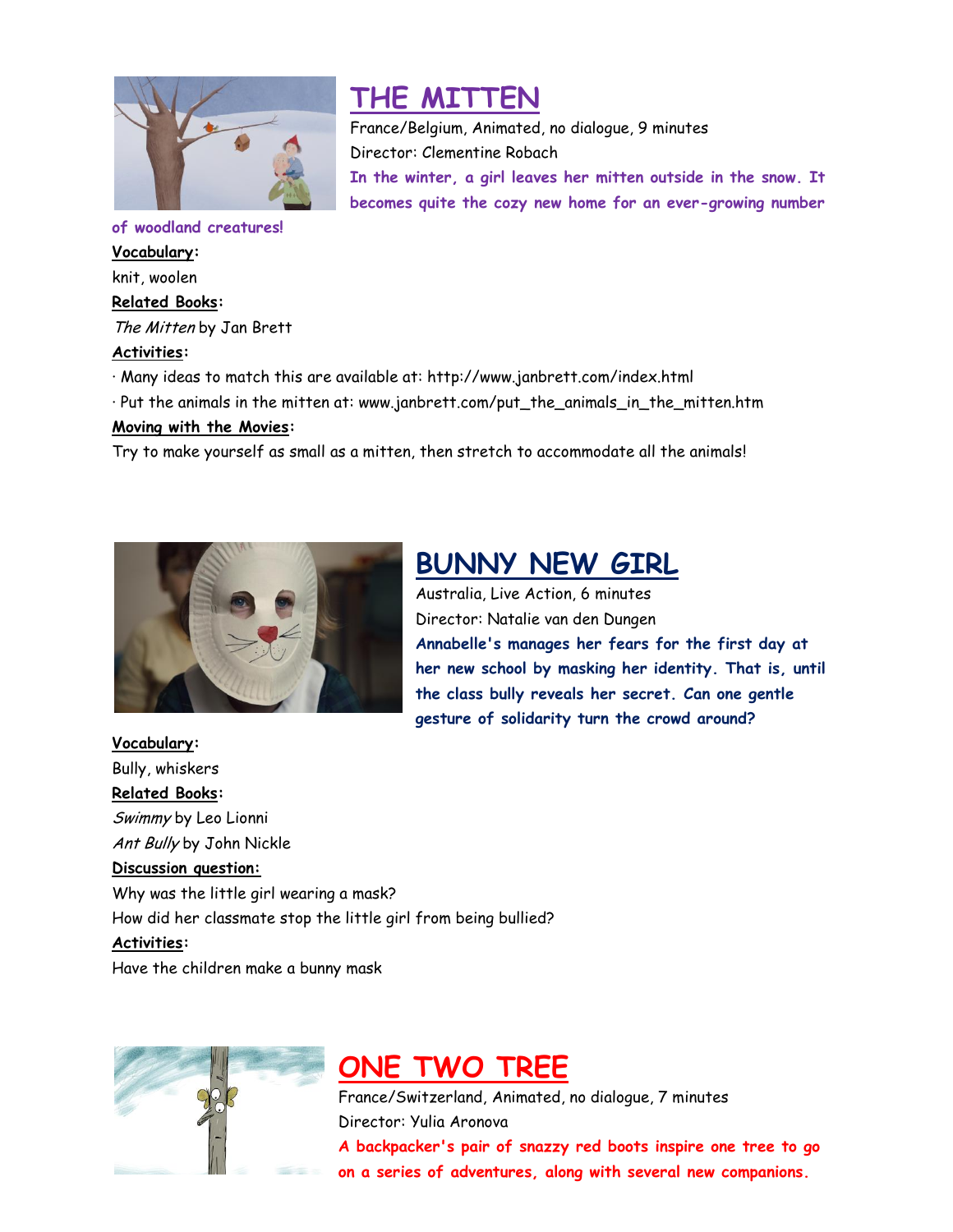

### **THE MITTEN**

France/Belgium, Animated, no dialogue, 9 minutes Director: Clementine Robach **In the winter, a girl leaves her mitten outside in the snow. It becomes quite the cozy new home for an ever-growing number** 

**of woodland creatures! Vocabulary:**  knit, woolen **Related Books:** The Mitten by Jan Brett **Activities:** 

- · Many ideas to match this are available at: http://www.janbrett.com/index.html
- · Put the animals in the mitten at: www.janbrett.com/put\_the\_animals\_in\_the\_mitten.htm

#### **Moving with the Movies:**

Try to make yourself as small as a mitten, then stretch to accommodate all the animals!



### **BUNNY NEW GIRL**

Australia, Live Action, 6 minutes Director: Natalie van den Dungen **Annabelle's manages her fears for the first day at her new school by masking her identity. That is, until the class bully reveals her secret. Can one gentle gesture of solidarity turn the crowd around?** 

**Vocabulary:**  Bully, whiskers

**Related Books:** Swimmy by Leo Lionni Ant Bully by John Nickle

#### **Discussion question:**

Why was the little girl wearing a mask? How did her classmate stop the little girl from being bullied?

#### **Activities:**

Have the children make a bunny mask



## **ONE TWO TREE**

France/Switzerland, Animated, no dialogue, 7 minutes Director: Yulia Aronova **A backpacker's pair of snazzy red boots inspire one tree to go on a series of adventures, along with several new companions.**